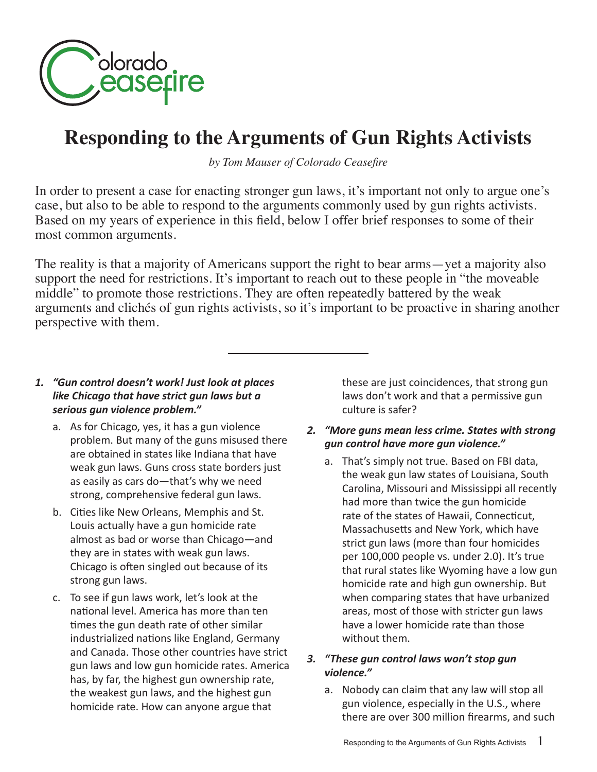

# **Responding to the Arguments of Gun Rights Activists**

*by Tom Mauser of Colorado Ceasefire*

In order to present a case for enacting stronger gun laws, it's important not only to argue one's case, but also to be able to respond to the arguments commonly used by gun rights activists. Based on my years of experience in this field, below I offer brief responses to some of their most common arguments.

The reality is that a majority of Americans support the right to bear arms—yet a majority also support the need for restrictions. It's important to reach out to these people in "the moveable middle" to promote those restrictions. They are often repeatedly battered by the weak arguments and clichés of gun rights activists, so it's important to be proactive in sharing another perspective with them.

#### *1. "Gun control doesn't work! Just look at places like Chicago that have strict gun laws but a serious gun violence problem."*

- a. As for Chicago, yes, it has a gun violence problem. But many of the guns misused there are obtained in states like Indiana that have weak gun laws. Guns cross state borders just as easily as cars do—that's why we need strong, comprehensive federal gun laws.
- b. Cities like New Orleans, Memphis and St. Louis actually have a gun homicide rate almost as bad or worse than Chicago—and they are in states with weak gun laws. Chicago is often singled out because of its strong gun laws.
- c. To see if gun laws work, let's look at the national level. America has more than ten times the gun death rate of other similar industrialized nations like England, Germany and Canada. Those other countries have strict gun laws and low gun homicide rates. America has, by far, the highest gun ownership rate, the weakest gun laws, and the highest gun homicide rate. How can anyone argue that

these are just coincidences, that strong gun laws don't work and that a permissive gun culture is safer?

- *2. "More guns mean less crime. States with strong gun control have more gun violence."* 
	- a. That's simply not true. Based on FBI data, the weak gun law states of Louisiana, South Carolina, Missouri and Mississippi all recently had more than twice the gun homicide rate of the states of Hawaii, Connecticut, Massachusetts and New York, which have strict gun laws (more than four homicides per 100,000 people vs. under 2.0). It's true that rural states like Wyoming have a low gun homicide rate and high gun ownership. But when comparing states that have urbanized areas, most of those with stricter gun laws have a lower homicide rate than those without them.

### *3. "These gun control laws won't stop gun violence."*

a. Nobody can claim that any law will stop all gun violence, especially in the U.S., where there are over 300 million firearms, and such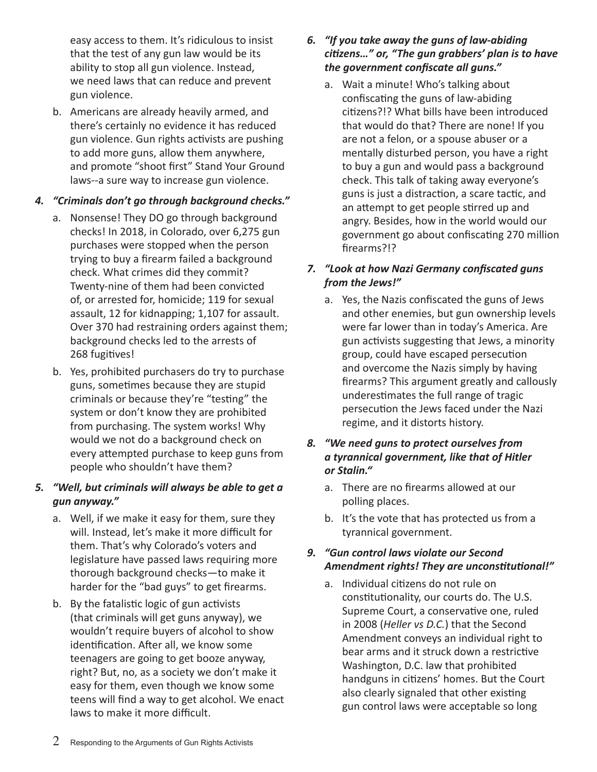easy access to them. It's ridiculous to insist that the test of any gun law would be its ability to stop all gun violence. Instead, we need laws that can reduce and prevent gun violence.

b. Americans are already heavily armed, and there's certainly no evidence it has reduced gun violence. Gun rights activists are pushing to add more guns, allow them anywhere, and promote "shoot first" Stand Your Ground laws--a sure way to increase gun violence.

# *4. "Criminals don't go through background checks."*

- a. Nonsense! They DO go through background checks! In 2018, in Colorado, over 6,275 gun purchases were stopped when the person trying to buy a firearm failed a background check. What crimes did they commit? Twenty-nine of them had been convicted of, or arrested for, homicide; 119 for sexual assault, 12 for kidnapping; 1,107 for assault. Over 370 had restraining orders against them; background checks led to the arrests of 268 fugitives!
- b. Yes, prohibited purchasers do try to purchase guns, sometimes because they are stupid criminals or because they're "testing" the system or don't know they are prohibited from purchasing. The system works! Why would we not do a background check on every attempted purchase to keep guns from people who shouldn't have them?

# *5. "Well, but criminals will always be able to get a gun anyway."*

- a. Well, if we make it easy for them, sure they will. Instead, let's make it more difficult for them. That's why Colorado's voters and legislature have passed laws requiring more thorough background checks—to make it harder for the "bad guys" to get firearms.
- b. By the fatalistic logic of gun activists (that criminals will get guns anyway), we wouldn't require buyers of alcohol to show identification. After all, we know some teenagers are going to get booze anyway, right? But, no, as a society we don't make it easy for them, even though we know some teens will find a way to get alcohol. We enact laws to make it more difficult.

# *6. "If you take away the guns of law-abiding citizens…" or, "The gun grabbers' plan is to have the government confiscate all guns."*

a. Wait a minute! Who's talking about confiscating the guns of law-abiding citizens?!? What bills have been introduced that would do that? There are none! If you are not a felon, or a spouse abuser or a mentally disturbed person, you have a right to buy a gun and would pass a background check. This talk of taking away everyone's guns is just a distraction, a scare tactic, and an attempt to get people stirred up and angry. Besides, how in the world would our government go about confiscating 270 million firearms?!?

# *7. "Look at how Nazi Germany confiscated guns from the Jews!"*

a. Yes, the Nazis confiscated the guns of Jews and other enemies, but gun ownership levels were far lower than in today's America. Are gun activists suggesting that Jews, a minority group, could have escaped persecution and overcome the Nazis simply by having firearms? This argument greatly and callously underestimates the full range of tragic persecution the Jews faced under the Nazi regime, and it distorts history.

## *8. "We need guns to protect ourselves from a tyrannical government, like that of Hitler or Stalin."*

- a. There are no firearms allowed at our polling places.
- b. It's the vote that has protected us from a tyrannical government.

# *9. "Gun control laws violate our Second Amendment rights! They are unconstitutional!"*

a. Individual citizens do not rule on constitutionality, our courts do. The U.S. Supreme Court, a conservative one, ruled in 2008 (*Heller vs D.C.*) that the Second Amendment conveys an individual right to bear arms and it struck down a restrictive Washington, D.C. law that prohibited handguns in citizens' homes. But the Court also clearly signaled that other existing gun control laws were acceptable so long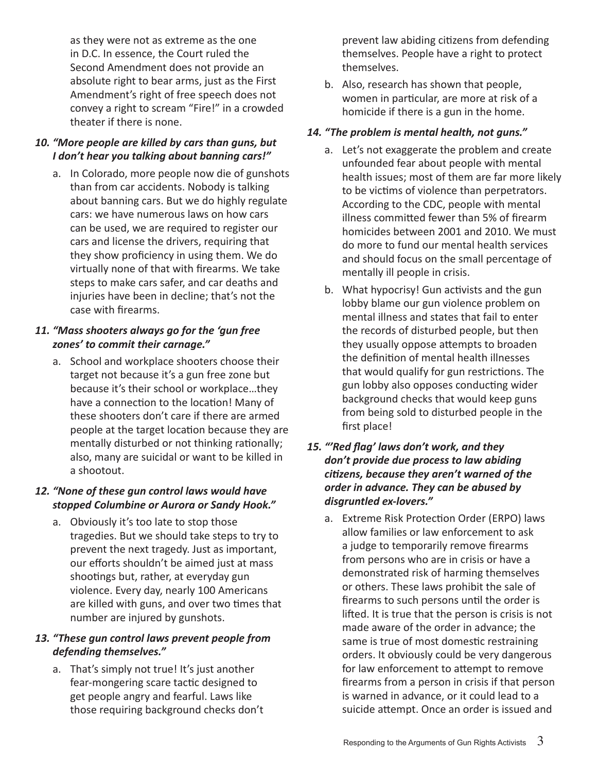as they were not as extreme as the one in D.C. In essence, the Court ruled the Second Amendment does not provide an absolute right to bear arms, just as the First Amendment's right of free speech does not convey a right to scream "Fire!" in a crowded theater if there is none.

#### *10. "More people are killed by cars than guns, but I don't hear you talking about banning cars!"*

a. In Colorado, more people now die of gunshots than from car accidents. Nobody is talking about banning cars. But we do highly regulate cars: we have numerous laws on how cars can be used, we are required to register our cars and license the drivers, requiring that they show proficiency in using them. We do virtually none of that with firearms. We take steps to make cars safer, and car deaths and injuries have been in decline; that's not the case with firearms.

### *11. "Mass shooters always go for the 'gun free zones' to commit their carnage."*

a. School and workplace shooters choose their target not because it's a gun free zone but because it's their school or workplace…they have a connection to the location! Many of these shooters don't care if there are armed people at the target location because they are mentally disturbed or not thinking rationally; also, many are suicidal or want to be killed in a shootout.

# *12. "None of these gun control laws would have stopped Columbine or Aurora or Sandy Hook."*

a. Obviously it's too late to stop those tragedies. But we should take steps to try to prevent the next tragedy. Just as important, our efforts shouldn't be aimed just at mass shootings but, rather, at everyday gun violence. Every day, nearly 100 Americans are killed with guns, and over two times that number are injured by gunshots.

# *13. "These gun control laws prevent people from defending themselves."*

a. That's simply not true! It's just another fear-mongering scare tactic designed to get people angry and fearful. Laws like those requiring background checks don't prevent law abiding citizens from defending themselves. People have a right to protect themselves.

b. Also, research has shown that people, women in particular, are more at risk of a homicide if there is a gun in the home.

# *14. "The problem is mental health, not guns."*

- a. Let's not exaggerate the problem and create unfounded fear about people with mental health issues; most of them are far more likely to be victims of violence than perpetrators. According to the CDC, people with mental illness committed fewer than 5% of firearm homicides between 2001 and 2010. We must do more to fund our mental health services and should focus on the small percentage of mentally ill people in crisis.
- b. What hypocrisy! Gun activists and the gun lobby blame our gun violence problem on mental illness and states that fail to enter the records of disturbed people, but then they usually oppose attempts to broaden the definition of mental health illnesses that would qualify for gun restrictions. The gun lobby also opposes conducting wider background checks that would keep guns from being sold to disturbed people in the first place!

#### *15. "'Red flag' laws don't work, and they don't provide due process to law abiding citizens, because they aren't warned of the order in advance. They can be abused by disgruntled ex-lovers."*

a. Extreme Risk Protection Order (ERPO) laws allow families or law enforcement to ask a judge to temporarily remove firearms from persons who are in crisis or have a demonstrated risk of harming themselves or others. These laws prohibit the sale of firearms to such persons until the order is lifted. It is true that the person is crisis is not made aware of the order in advance; the same is true of most domestic restraining orders. It obviously could be very dangerous for law enforcement to attempt to remove firearms from a person in crisis if that person is warned in advance, or it could lead to a suicide attempt. Once an order is issued and